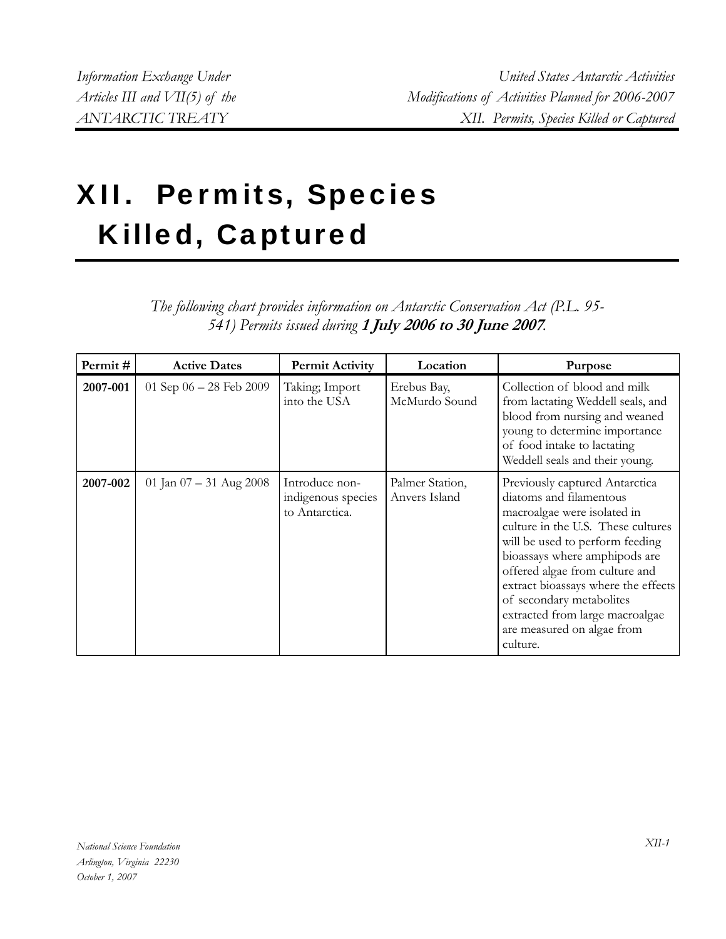## XII. Permits, Species Killed, Captured

## *The following chart provides information on Antarctic Conservation Act (P.L. 95- 541) Permits issued during* **1 July 2006 to 30 June 2007***.*

| Permit#  | <b>Active Dates</b>       | <b>Permit Activity</b>                                 | Location                         | Purpose                                                                                                                                                                                                                                                                                                                                                                              |
|----------|---------------------------|--------------------------------------------------------|----------------------------------|--------------------------------------------------------------------------------------------------------------------------------------------------------------------------------------------------------------------------------------------------------------------------------------------------------------------------------------------------------------------------------------|
| 2007-001 | 01 Sep $06 - 28$ Feb 2009 | Taking; Import<br>into the USA                         | Erebus Bay,<br>McMurdo Sound     | Collection of blood and milk<br>from lactating Weddell seals, and<br>blood from nursing and weaned<br>young to determine importance<br>of food intake to lactating<br>Weddell seals and their young.                                                                                                                                                                                 |
| 2007-002 | 01 Jan $07 - 31$ Aug 2008 | Introduce non-<br>indigenous species<br>to Antarctica. | Palmer Station,<br>Anvers Island | Previously captured Antarctica<br>diatoms and filamentous<br>macroalgae were isolated in<br>culture in the U.S. These cultures<br>will be used to perform feeding<br>bioassays where amphipods are<br>offered algae from culture and<br>extract bioassays where the effects<br>of secondary metabolites<br>extracted from large macroalgae<br>are measured on algae from<br>culture. |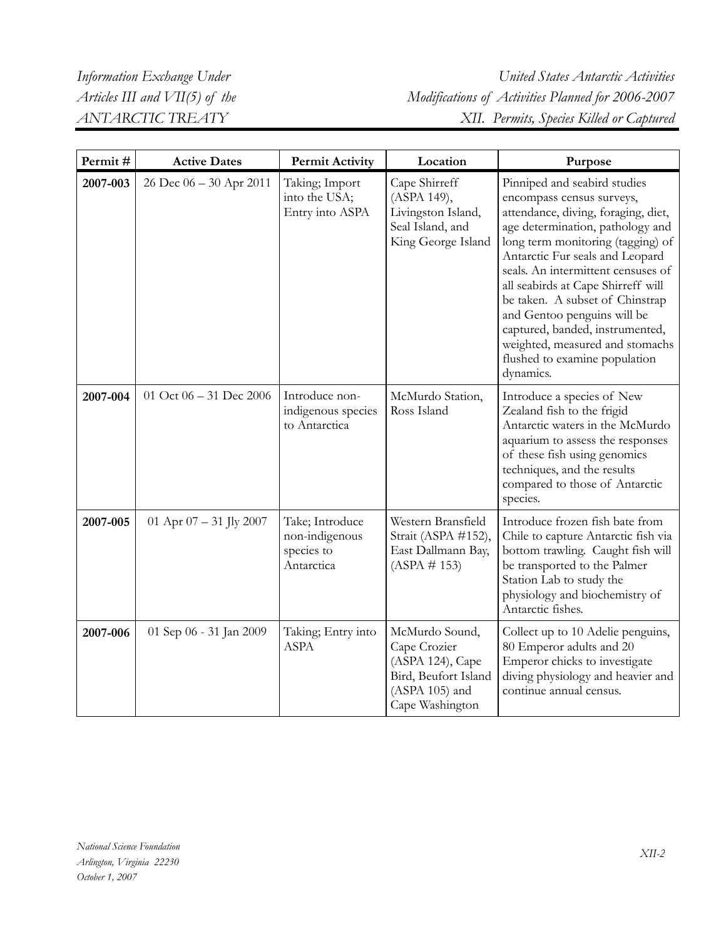| Permit#  | <b>Active Dates</b>       | <b>Permit Activity</b>                                        | Location                                                                                                          | Purpose                                                                                                                                                                                                                                                                                                                                                                                                                                                                        |
|----------|---------------------------|---------------------------------------------------------------|-------------------------------------------------------------------------------------------------------------------|--------------------------------------------------------------------------------------------------------------------------------------------------------------------------------------------------------------------------------------------------------------------------------------------------------------------------------------------------------------------------------------------------------------------------------------------------------------------------------|
| 2007-003 | 26 Dec 06 - 30 Apr 2011   | Taking; Import<br>into the USA;<br>Entry into ASPA            | Cape Shirreff<br>(ASPA 149),<br>Livingston Island,<br>Seal Island, and<br>King George Island                      | Pinniped and seabird studies<br>encompass census surveys,<br>attendance, diving, foraging, diet,<br>age determination, pathology and<br>long term monitoring (tagging) of<br>Antarctic Fur seals and Leopard<br>seals. An intermittent censuses of<br>all seabirds at Cape Shirreff will<br>be taken. A subset of Chinstrap<br>and Gentoo penguins will be<br>captured, banded, instrumented,<br>weighted, measured and stomachs<br>flushed to examine population<br>dynamics. |
| 2007-004 | 01 Oct 06 - 31 Dec 2006   | Introduce non-<br>indigenous species<br>to Antarctica         | McMurdo Station,<br>Ross Island                                                                                   | Introduce a species of New<br>Zealand fish to the frigid<br>Antarctic waters in the McMurdo<br>aquarium to assess the responses<br>of these fish using genomics<br>techniques, and the results<br>compared to those of Antarctic<br>species.                                                                                                                                                                                                                                   |
| 2007-005 | 01 Apr $07 - 31$ Jly 2007 | Take; Introduce<br>non-indigenous<br>species to<br>Antarctica | Western Bransfield<br>Strait (ASPA #152),<br>East Dallmann Bay,<br>$(ASPA \# 153)$                                | Introduce frozen fish bate from<br>Chile to capture Antarctic fish via<br>bottom trawling. Caught fish will<br>be transported to the Palmer<br>Station Lab to study the<br>physiology and biochemistry of<br>Antarctic fishes.                                                                                                                                                                                                                                                 |
| 2007-006 | 01 Sep 06 - 31 Jan 2009   | Taking; Entry into<br><b>ASPA</b>                             | McMurdo Sound,<br>Cape Crozier<br>(ASPA 124), Cape<br>Bird, Beufort Island<br>$(ASPA 105)$ and<br>Cape Washington | Collect up to 10 Adelie penguins,<br>80 Emperor adults and 20<br>Emperor chicks to investigate<br>diving physiology and heavier and<br>continue annual census.                                                                                                                                                                                                                                                                                                                 |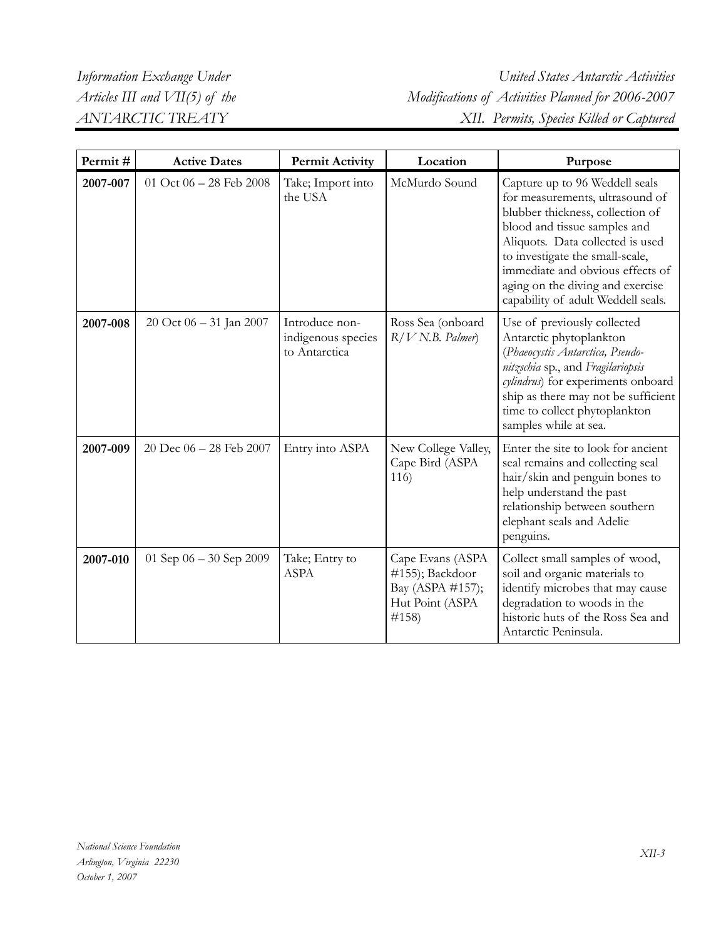*Information Exchange Under United States Antarctic Activities Articles III and VII(5) of the Modifications of Activities Planned for 2006-2007 ANTARCTIC TREATY XII. Permits, Species Killed or Captured* 

| Permit#  | <b>Active Dates</b>       | <b>Permit Activity</b>                                | Location                                                                              | Purpose                                                                                                                                                                                                                                                                                                                    |
|----------|---------------------------|-------------------------------------------------------|---------------------------------------------------------------------------------------|----------------------------------------------------------------------------------------------------------------------------------------------------------------------------------------------------------------------------------------------------------------------------------------------------------------------------|
| 2007-007 | 01 Oct 06 - 28 Feb 2008   | Take; Import into<br>the USA                          | McMurdo Sound                                                                         | Capture up to 96 Weddell seals<br>for measurements, ultrasound of<br>blubber thickness, collection of<br>blood and tissue samples and<br>Aliquots. Data collected is used<br>to investigate the small-scale,<br>immediate and obvious effects of<br>aging on the diving and exercise<br>capability of adult Weddell seals. |
| 2007-008 | 20 Oct 06 - 31 Jan 2007   | Introduce non-<br>indigenous species<br>to Antarctica | Ross Sea (onboard<br>$R/V$ N.B. Palmer)                                               | Use of previously collected<br>Antarctic phytoplankton<br>(Phaeocystis Antarctica, Pseudo-<br>nitzschia sp., and Fragilariopsis<br>cylindrus) for experiments onboard<br>ship as there may not be sufficient<br>time to collect phytoplankton<br>samples while at sea.                                                     |
| 2007-009 | 20 Dec 06 - 28 Feb 2007   | Entry into ASPA                                       | New College Valley,<br>Cape Bird (ASPA<br>116)                                        | Enter the site to look for ancient<br>seal remains and collecting seal<br>hair/skin and penguin bones to<br>help understand the past<br>relationship between southern<br>elephant seals and Adelie<br>penguins.                                                                                                            |
| 2007-010 | 01 Sep $06 - 30$ Sep 2009 | Take; Entry to<br><b>ASPA</b>                         | Cape Evans (ASPA<br>#155); Backdoor<br>Bay (ASPA #157);<br>Hut Point (ASPA<br>$\#158$ | Collect small samples of wood,<br>soil and organic materials to<br>identify microbes that may cause<br>degradation to woods in the<br>historic huts of the Ross Sea and<br>Antarctic Peninsula.                                                                                                                            |